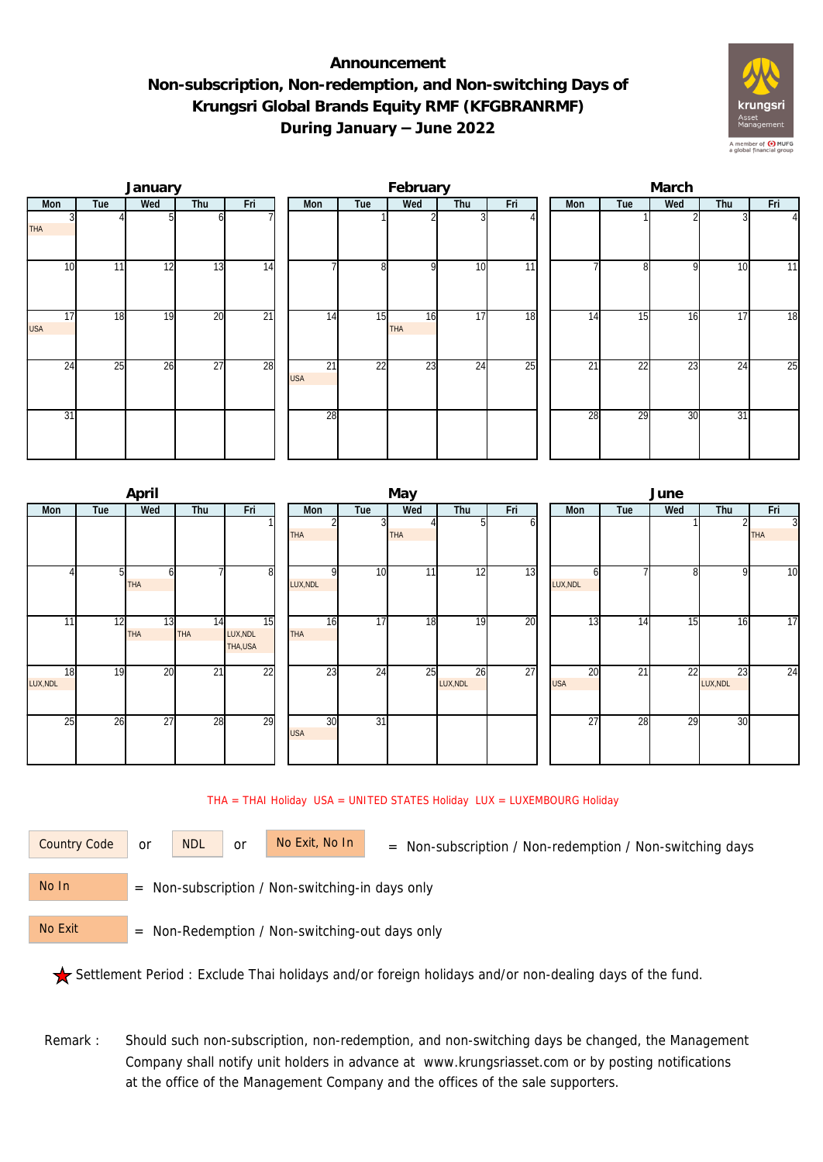## **Announcement Non-subscription, Non-redemption, and Non-switching Days of Krungsri Global Brands Equity RMF (KFGBRANRMF) During January – June 2022**



|                  |     | January |                 |                 |  |                  | February        |           |                 | March           |     |                 |     |     |                |  |
|------------------|-----|---------|-----------------|-----------------|--|------------------|-----------------|-----------|-----------------|-----------------|-----|-----------------|-----|-----|----------------|--|
| Mon              | Tue | Wed     | Thu             | Fri             |  | Mon              | Tue             | Wed       | Thu             | Fri             | Mon | Tue             | Wed | Thu | Fri            |  |
| <b>THA</b>       |     |         | ωI              |                 |  |                  |                 |           |                 |                 |     |                 |     |     | $\overline{4}$ |  |
| 10               | 11  | 12      | 13              | 14              |  |                  | 8               | οI        | 10              | $\overline{11}$ |     | 81              | 9   | 10  | 11             |  |
| 17<br><b>USA</b> | 18  | 19      | 20              | $\overline{21}$ |  | 14               | 15              | 16<br>THA | 17              | 18              | 14  | 15              | 16  | 17  | 18             |  |
| $2\overline{4}$  | 25  | 26      | $\overline{27}$ | 28              |  | 21<br><b>USA</b> | $\overline{22}$ | 23        | $2\overline{4}$ | $\overline{25}$ | 21  | $2\overline{2}$ | 23  | 24  | 25             |  |
| 31               |     |         |                 |                 |  | 28               |                 |           |                 |                 | 28  | 29              | 30  | 31  |                |  |

|          |     | April      |                 |                 |            |                 | May |          |     | June            |     |     |                |                |  |  |
|----------|-----|------------|-----------------|-----------------|------------|-----------------|-----|----------|-----|-----------------|-----|-----|----------------|----------------|--|--|
| Mon      | Tue | Wed        | Thu             | Fri             | Mon        | Tue             | Wed | Thu      | Fri | <b>Mon</b>      | Tue | Wed | Thu            | Fri            |  |  |
|          |     |            |                 |                 |            |                 |     | G        | ωI  |                 |     |     | $\overline{2}$ | $\overline{3}$ |  |  |
|          |     |            |                 |                 | <b>THA</b> |                 | THA |          |     |                 |     |     |                | <b>THA</b>     |  |  |
|          |     |            |                 |                 |            |                 |     |          |     |                 |     |     |                |                |  |  |
|          |     | ы          |                 | 8               | ΩI         | 10              | 11  | 12       | 13  |                 |     | 8   | 9              | 10             |  |  |
|          |     | <b>THA</b> |                 |                 | LUX, NDL   |                 |     |          |     | LUX, NDL        |     |     |                |                |  |  |
|          |     |            |                 |                 |            |                 |     |          |     |                 |     |     |                |                |  |  |
| 11       | 12  | 13         | 14              | $\overline{15}$ | 16         | 17              | 18  | 19       | 20  | 13              | 14  | 15  | 16             | 17             |  |  |
|          |     | <b>THA</b> | THA             | LUX, NDL        | <b>THA</b> |                 |     |          |     |                 |     |     |                |                |  |  |
|          |     |            |                 | THA,USA         |            |                 |     |          |     |                 |     |     |                |                |  |  |
| 18       | 19  | 20         | $\overline{21}$ | $\overline{22}$ | 23         | 24              | 25  | 26       | 27  | 20              | 21  | 22  | 23             | 24             |  |  |
| LUX, NDL |     |            |                 |                 |            |                 |     | LUX, NDL |     | <b>USA</b>      |     |     | LUX, NDL       |                |  |  |
|          |     |            |                 |                 |            |                 |     |          |     |                 |     |     |                |                |  |  |
| 25       | 26  | 27         | 28              | 29              | 30         | $\overline{31}$ |     |          |     | $\overline{27}$ | 28  | 29  | 30             |                |  |  |
|          |     |            |                 |                 | <b>USA</b> |                 |     |          |     |                 |     |     |                |                |  |  |
|          |     |            |                 |                 |            |                 |     |          |     |                 |     |     |                |                |  |  |
|          |     |            |                 |                 |            |                 |     |          |     |                 |     |     |                |                |  |  |

## THA = THAI Holiday USA = UNITED STATES Holiday LUX = LUXEMBOURG Holiday

or NDL or

Country Code or NDL or No Exit, No In = Non-subscription / Non-redemption / Non-switching days

 = Non-subscription / Non-switching-in days only No In

 = Non-Redemption / Non-switching-out days only No Exit

Settlement Period : Exclude Thai holidays and/or foreign holidays and/or non-dealing days of the fund.

Remark : Should such non-subscription, non-redemption, and non-switching days be changed, the Management Company shall notify unit holders in advance at www.krungsriasset.com or by posting notifications at the office of the Management Company and the offices of the sale supporters.